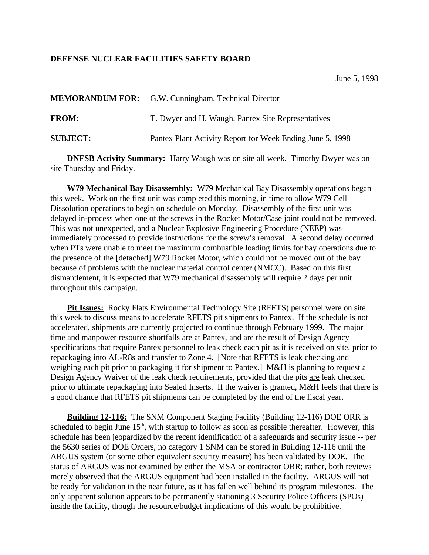## **DEFENSE NUCLEAR FACILITIES SAFETY BOARD**

|                 | <b>MEMORANDUM FOR:</b> G.W. Cunningham, Technical Director |
|-----------------|------------------------------------------------------------|
| <b>FROM:</b>    | T. Dwyer and H. Waugh, Pantex Site Representatives         |
| <b>SUBJECT:</b> | Pantex Plant Activity Report for Week Ending June 5, 1998  |

**DNFSB Activity Summary:** Harry Waugh was on site all week. Timothy Dwyer was on site Thursday and Friday.

**W79 Mechanical Bay Disassembly:** W79 Mechanical Bay Disassembly operations began this week. Work on the first unit was completed this morning, in time to allow W79 Cell Dissolution operations to begin on schedule on Monday. Disassembly of the first unit was delayed in-process when one of the screws in the Rocket Motor/Case joint could not be removed. This was not unexpected, and a Nuclear Explosive Engineering Procedure (NEEP) was immediately processed to provide instructions for the screw's removal. A second delay occurred when PTs were unable to meet the maximum combustible loading limits for bay operations due to the presence of the [detached] W79 Rocket Motor, which could not be moved out of the bay because of problems with the nuclear material control center (NMCC). Based on this first dismantlement, it is expected that W79 mechanical disassembly will require 2 days per unit throughout this campaign.

**Pit Issues:** Rocky Flats Environmental Technology Site (RFETS) personnel were on site this week to discuss means to accelerate RFETS pit shipments to Pantex. If the schedule is not accelerated, shipments are currently projected to continue through February 1999. The major time and manpower resource shortfalls are at Pantex, and are the result of Design Agency specifications that require Pantex personnel to leak check each pit as it is received on site, prior to repackaging into AL-R8s and transfer to Zone 4. [Note that RFETS is leak checking and weighing each pit prior to packaging it for shipment to Pantex.] M&H is planning to request a Design Agency Waiver of the leak check requirements, provided that the pits are leak checked prior to ultimate repackaging into Sealed Inserts. If the waiver is granted, M&H feels that there is a good chance that RFETS pit shipments can be completed by the end of the fiscal year.

**Building 12-116:** The SNM Component Staging Facility (Building 12-116) DOE ORR is scheduled to begin June  $15<sup>th</sup>$ , with startup to follow as soon as possible thereafter. However, this schedule has been jeopardized by the recent identification of a safeguards and security issue -- per the 5630 series of DOE Orders, no category 1 SNM can be stored in Building 12-116 until the ARGUS system (or some other equivalent security measure) has been validated by DOE. The status of ARGUS was not examined by either the MSA or contractor ORR; rather, both reviews merely observed that the ARGUS equipment had been installed in the facility. ARGUS will not be ready for validation in the near future, as it has fallen well behind its program milestones. The only apparent solution appears to be permanently stationing 3 Security Police Officers (SPOs) inside the facility, though the resource/budget implications of this would be prohibitive.